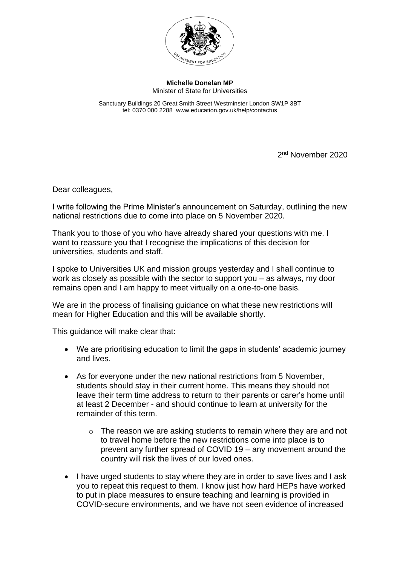

**Michelle Donelan MP** Minister of State for Universities

Sanctuary Buildings 20 Great Smith Street Westminster London SW1P 3BT tel: 0370 000 2288 www.education.gov.uk/help/contactus

2<sup>nd</sup> November 2020

Dear colleagues,

I write following the Prime Minister's announcement on Saturday, outlining the new national restrictions due to come into place on 5 November 2020.

Thank you to those of you who have already shared your questions with me. I want to reassure you that I recognise the implications of this decision for universities, students and staff.

I spoke to Universities UK and mission groups yesterday and I shall continue to work as closely as possible with the sector to support you – as always, my door remains open and I am happy to meet virtually on a one-to-one basis.

We are in the process of finalising guidance on what these new restrictions will mean for Higher Education and this will be available shortly.

This guidance will make clear that:

- We are prioritising education to limit the gaps in students' academic journey and lives.
- As for everyone under the new national restrictions from 5 November, students should stay in their current home. This means they should not leave their term time address to return to their parents or carer's home until at least 2 December - and should continue to learn at university for the remainder of this term.
	- $\circ$  The reason we are asking students to remain where they are and not to travel home before the new restrictions come into place is to prevent any further spread of COVID 19 – any movement around the country will risk the lives of our loved ones.
- I have urged students to stay where they are in order to save lives and I ask you to repeat this request to them. I know just how hard HEPs have worked to put in place measures to ensure teaching and learning is provided in COVID-secure environments, and we have not seen evidence of increased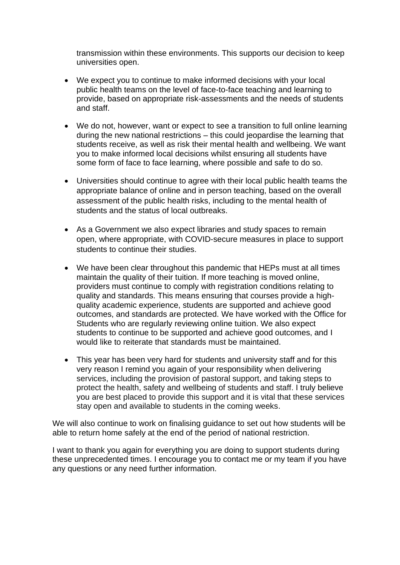transmission within these environments. This supports our decision to keep universities open.

- We expect you to continue to make informed decisions with your local public health teams on the level of face-to-face teaching and learning to provide, based on appropriate risk-assessments and the needs of students and staff.
- We do not, however, want or expect to see a transition to full online learning during the new national restrictions – this could jeopardise the learning that students receive, as well as risk their mental health and wellbeing. We want you to make informed local decisions whilst ensuring all students have some form of face to face learning, where possible and safe to do so.
- Universities should continue to agree with their local public health teams the appropriate balance of online and in person teaching, based on the overall assessment of the public health risks, including to the mental health of students and the status of local outbreaks.
- As a Government we also expect libraries and study spaces to remain open, where appropriate, with COVID-secure measures in place to support students to continue their studies.
- We have been clear throughout this pandemic that HEPs must at all times maintain the quality of their tuition. If more teaching is moved online, providers must continue to comply with registration conditions relating to quality and standards. This means ensuring that courses provide a highquality academic experience, students are supported and achieve good outcomes, and standards are protected. We have worked with the Office for Students who are regularly reviewing online tuition. We also expect students to continue to be supported and achieve good outcomes, and I would like to reiterate that standards must be maintained.
- This year has been very hard for students and university staff and for this very reason I remind you again of your responsibility when delivering services, including the provision of pastoral support, and taking steps to protect the health, safety and wellbeing of students and staff. I truly believe you are best placed to provide this support and it is vital that these services stay open and available to students in the coming weeks.

We will also continue to work on finalising guidance to set out how students will be able to return home safely at the end of the period of national restriction.

I want to thank you again for everything you are doing to support students during these unprecedented times. I encourage you to contact me or my team if you have any questions or any need further information.